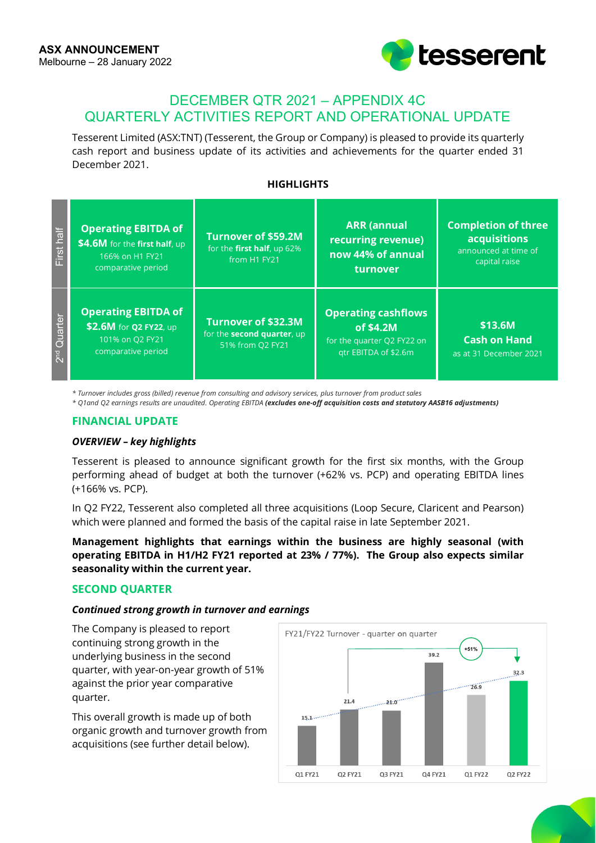

# DECEMBER QTR 2021 – APPENDIX 4C QUARTERLY ACTIVITIES REPORT AND OPERATIONAL UPDATE

Tesserent Limited (ASX:TNT) (Tesserent, the Group or Company) is pleased to provide its quarterly cash report and business update of its activities and achievements for the quarter ended 31 December 2021.

## **HIGHLIGHTS**

| First half              | <b>Operating EBITDA of</b><br>\$4.6M for the first half, up<br>166% on H1 FY21<br>comparative period | <b>Turnover of \$59.2M</b><br>for the first half, up 62%<br>from H1 FY21      | <b>ARR</b> (annual<br>recurring revenue)<br>now 44% of annual<br>turnover                     | <b>Completion of three</b><br><b>acquisitions</b><br>announced at time of<br>capital raise |
|-------------------------|------------------------------------------------------------------------------------------------------|-------------------------------------------------------------------------------|-----------------------------------------------------------------------------------------------|--------------------------------------------------------------------------------------------|
| 2 <sup>nd</sup> Quarter | <b>Operating EBITDA of</b><br>\$2.6M for Q2 FY22, up<br>101% on Q2 FY21<br>comparative period        | Turnover of \$32.3M<br>for the <b>second quarter</b> , up<br>51% from Q2 FY21 | <b>Operating cashflows</b><br>of \$4.2M<br>for the quarter Q2 FY22 on<br>gtr EBITDA of \$2.6m | \$13.6M<br><b>Cash on Hand</b><br>as at 31 December 2021                                   |

*\* Turnover includes gross (billed) revenue from consulting and advisory services, plus turnover from product sales*

*\* Q1and Q2 earnings results are unaudited. Operating EBITDA (excludes one-off acquisition costs and statutory AASB16 adjustments)*

### **FINANCIAL UPDATE**

#### *OVERVIEW – key highlights*

Tesserent is pleased to announce significant growth for the first six months, with the Group performing ahead of budget at both the turnover (+62% vs. PCP) and operating EBITDA lines (+166% vs. PCP).

In Q2 FY22, Tesserent also completed all three acquisitions (Loop Secure, Claricent and Pearson) which were planned and formed the basis of the capital raise in late September 2021.

**Management highlights that earnings within the business are highly seasonal (with operating EBITDA in H1/H2 FY21 reported at 23% / 77%). The Group also expects similar seasonality within the current year.**

#### **SECOND QUARTER**

#### *Continued strong growth in turnover and earnings*

The Company is pleased to report continuing strong growth in the underlying business in the second quarter, with year-on-year growth of 51% against the prior year comparative quarter.

This overall growth is made up of both organic growth and turnover growth from acquisitions (see further detail below).

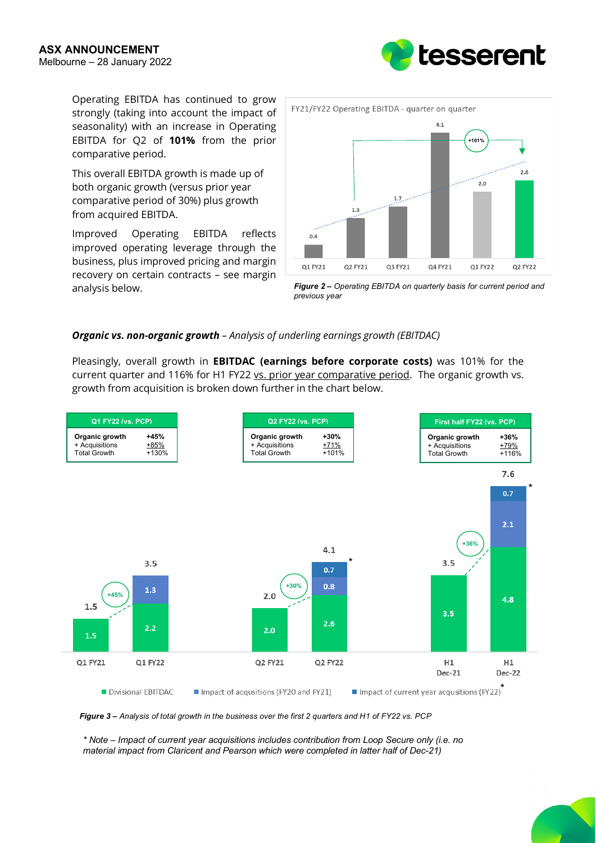Operating EBITDA has continued to grow strongly (taking into account the impact of seasonality) with an increase in Operating EBITDA for Q2 of **101%** from the prior comparative period.

This overall EBITDA growth is made up of both organic growth (versus prior year comparative period of 30%) plus growth from acquired EBITDA.

Improved Operating EBITDA reflects improved operating leverage through the business, plus improved pricing and margin recovery on certain contracts – see margin analysis below.



*Figure 2 – Operating EBITDA on quarterly basis for current period and previous year*

## *Organic vs. non-organic growth – Analysis of underling earnings growth (EBITDAC)*

Pleasingly, overall growth in **EBITDAC (earnings before corporate costs)** was 101% for the current quarter and 116% for H1 FY22 vs. prior year comparative period. The organic growth vs. growth from acquisition is broken down further in the chart below.





*\* Note – Impact of current year acquisitions includes contribution from Loop Secure only (i.e. no material impact from Claricent and Pearson which were completed in latter half of Dec-21)*

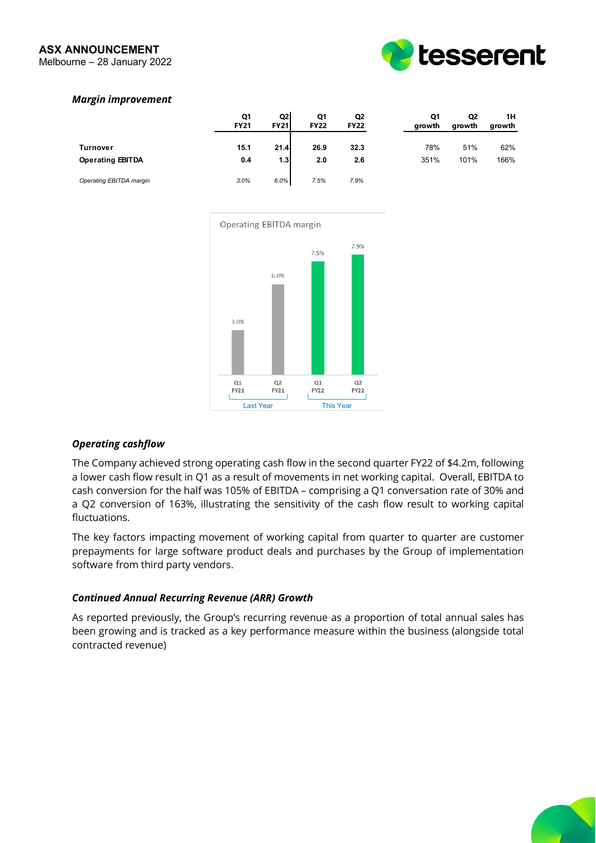#### **ASX ANNOUNCEMENT** Melbourne – 28 January 2022



# *Margin improvement*

|                                            | Q1<br><b>FY21</b> | Q2<br><b>FY21</b>        | Q1<br><b>FY22</b> | Q <sub>2</sub><br><b>FY22</b> | Q1<br>growth | Q2<br>growth | 1Н<br>growth |
|--------------------------------------------|-------------------|--------------------------|-------------------|-------------------------------|--------------|--------------|--------------|
| <b>Turnover</b><br><b>Operating EBITDA</b> | 15.1<br>0.4       | 21.4<br>1.3 <sub>l</sub> | 26.9<br>2.0       | 32.3<br>2.6                   | 78%<br>351%  | 51%<br>101%  | 62%<br>166%  |
| Operating EBITDA margin                    | 3.0%              | 6.0%                     | 7.5%              | 7.9%                          |              |              |              |



# *Operating cashflow*

The Company achieved strong operating cash flow in the second quarter FY22 of \$4.2m, following a lower cash flow result in Q1 as a result of movements in net working capital. Overall, EBITDA to cash conversion for the half was 105% of EBITDA – comprising a Q1 conversation rate of 30% and a Q2 conversion of 163%, illustrating the sensitivity of the cash flow result to working capital fluctuations.

The key factors impacting movement of working capital from quarter to quarter are customer prepayments for large software product deals and purchases by the Group of implementation software from third party vendors.

#### *Continued Annual Recurring Revenue (ARR) Growth*

As reported previously, the Group's recurring revenue as a proportion of total annual sales has been growing and is tracked as a key performance measure within the business (alongside total contracted revenue)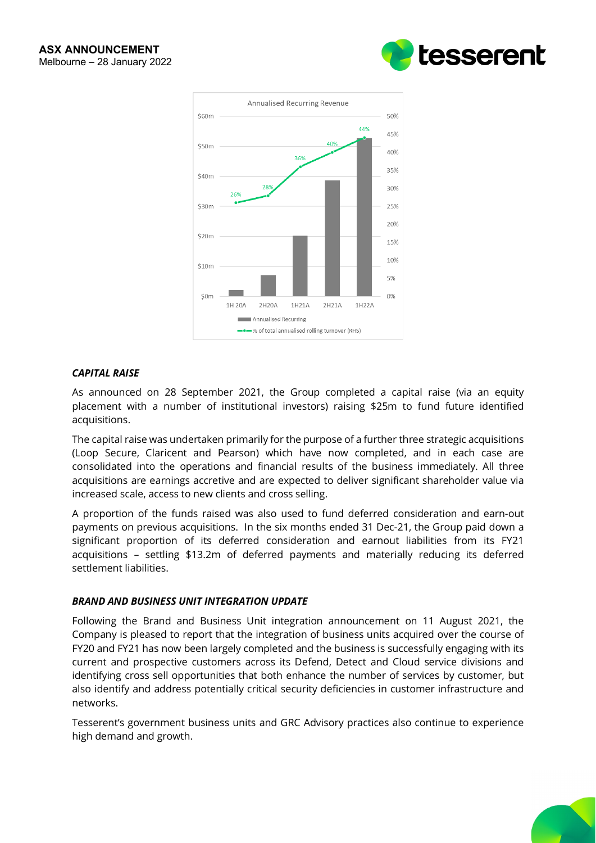



## *CAPITAL RAISE*

As announced on 28 September 2021, the Group completed a capital raise (via an equity placement with a number of institutional investors) raising \$25m to fund future identified acquisitions.

The capital raise was undertaken primarily for the purpose of a further three strategic acquisitions (Loop Secure, Claricent and Pearson) which have now completed, and in each case are consolidated into the operations and financial results of the business immediately. All three acquisitions are earnings accretive and are expected to deliver significant shareholder value via increased scale, access to new clients and cross selling.

A proportion of the funds raised was also used to fund deferred consideration and earn-out payments on previous acquisitions. In the six months ended 31 Dec-21, the Group paid down a significant proportion of its deferred consideration and earnout liabilities from its FY21 acquisitions – settling \$13.2m of deferred payments and materially reducing its deferred settlement liabilities.

# *BRAND AND BUSINESS UNIT INTEGRATION UPDATE*

Following the Brand and Business Unit integration announcement on 11 August 2021, the Company is pleased to report that the integration of business units acquired over the course of FY20 and FY21 has now been largely completed and the business is successfully engaging with its current and prospective customers across its Defend, Detect and Cloud service divisions and identifying cross sell opportunities that both enhance the number of services by customer, but also identify and address potentially critical security deficiencies in customer infrastructure and networks.

Tesserent's government business units and GRC Advisory practices also continue to experience high demand and growth.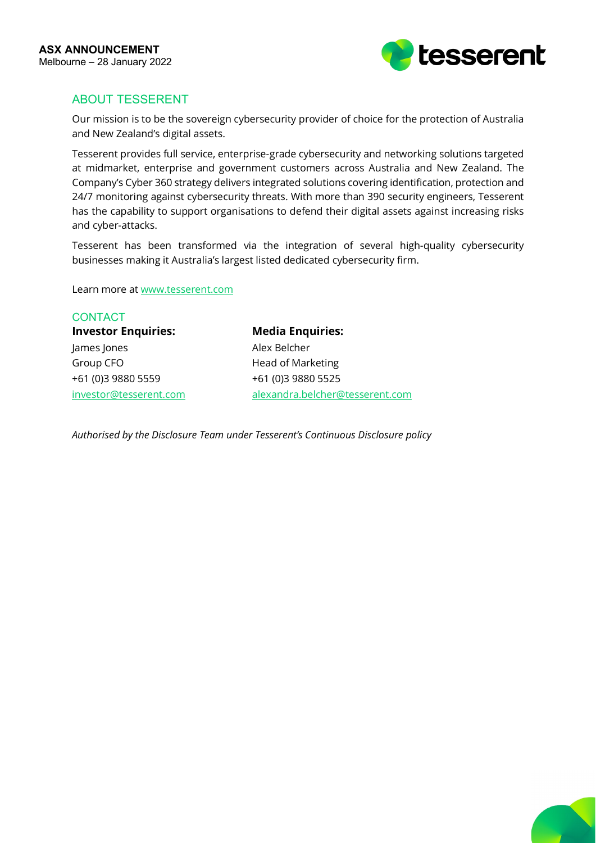

# ABOUT TESSERENT

Our mission is to be the sovereign cybersecurity provider of choice for the protection of Australia and New Zealand's digital assets.

Tesserent provides full service, enterprise-grade cybersecurity and networking solutions targeted at midmarket, enterprise and government customers across Australia and New Zealand. The Company's Cyber 360 strategy delivers integrated solutions covering identification, protection and 24/7 monitoring against cybersecurity threats. With more than 390 security engineers, Tesserent has the capability to support organisations to defend their digital assets against increasing risks and cyber-attacks.

Tesserent has been transformed via the integration of several high-quality cybersecurity businesses making it Australia's largest listed dedicated cybersecurity firm.

Learn more a[t www.tesserent.com](http://www.tesserent.com/)

**CONTACT Investor Enquiries: Media Enquiries:** James Jones **Alex Belcher** Group CFO **Head of Marketing** +61 (0)3 9880 5559 +61 (0)3 9880 5525

[investor@tesserent.com](mailto:investor@tesserent.com) [alexandra.belcher@tesserent.com](mailto:alexandra.belcher@tesserent.com)

*Authorised by the Disclosure Team under Tesserent's Continuous Disclosure policy*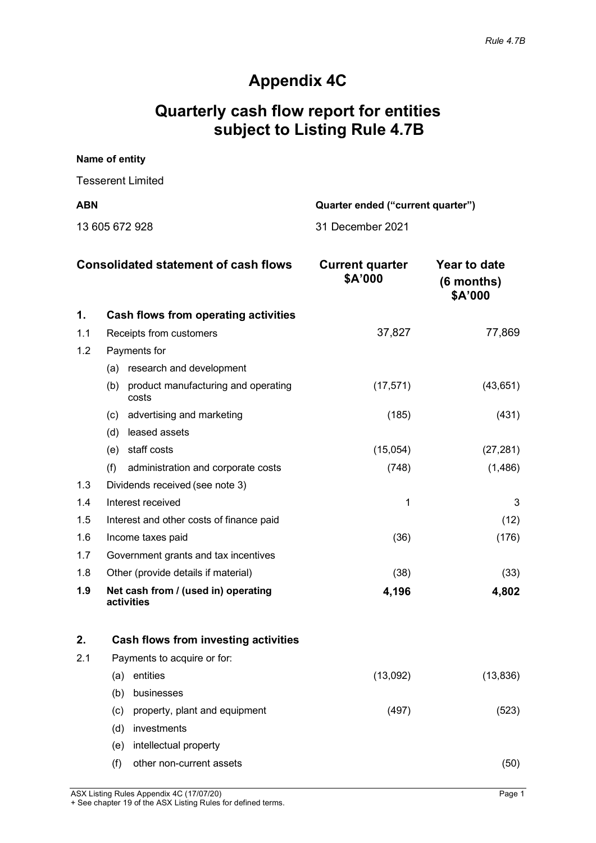# **Appendix 4C**

# **Quarterly cash flow report for entities subject to Listing Rule 4.7B**

| Name of entity    |                                   |
|-------------------|-----------------------------------|
| Tesserent Limited |                                   |
| <b>ABN</b>        | Quarter ended ("current quarter") |
| 13 605 672 928    | 31 December 2021                  |

|     | <b>Consolidated statement of cash flows</b>         | <b>Current quarter</b><br>\$A'000 | Year to date<br>$(6$ months)<br>\$A'000 |
|-----|-----------------------------------------------------|-----------------------------------|-----------------------------------------|
| 1.  | Cash flows from operating activities                |                                   |                                         |
| 1.1 | Receipts from customers                             | 37,827                            | 77,869                                  |
| 1.2 | Payments for                                        |                                   |                                         |
|     | research and development<br>(a)                     |                                   |                                         |
|     | product manufacturing and operating<br>(b)<br>costs | (17, 571)                         | (43, 651)                               |
|     | advertising and marketing<br>(c)                    | (185)                             | (431)                                   |
|     | (d)<br>leased assets                                |                                   |                                         |
|     | staff costs<br>(e)                                  | (15,054)                          | (27, 281)                               |
|     | (f)<br>administration and corporate costs           | (748)                             | (1, 486)                                |
| 1.3 | Dividends received (see note 3)                     |                                   |                                         |
| 1.4 | Interest received                                   | 1                                 | 3                                       |
| 1.5 | Interest and other costs of finance paid            |                                   | (12)                                    |
| 1.6 | Income taxes paid                                   | (36)                              | (176)                                   |
| 1.7 | Government grants and tax incentives                |                                   |                                         |
| 1.8 | Other (provide details if material)                 | (38)                              | (33)                                    |
| 1.9 | Net cash from / (used in) operating<br>activities   | 4,196                             | 4,802                                   |

| 2.  |     | Cash flows from investing activities |          |           |
|-----|-----|--------------------------------------|----------|-----------|
| 2.1 |     | Payments to acquire or for:          |          |           |
|     | (a  | entities                             | (13,092) | (13, 836) |
|     | (b) | businesses                           |          |           |
|     | (c) | property, plant and equipment        | (497)    | (523)     |
|     | (d) | investments                          |          |           |
|     | (e) | intellectual property                |          |           |
|     | (f) | other non-current assets             |          | 50        |

ASX Listing Rules Appendix 4C (17/07/20) Page 1

+ See chapter 19 of the ASX Listing Rules for defined terms.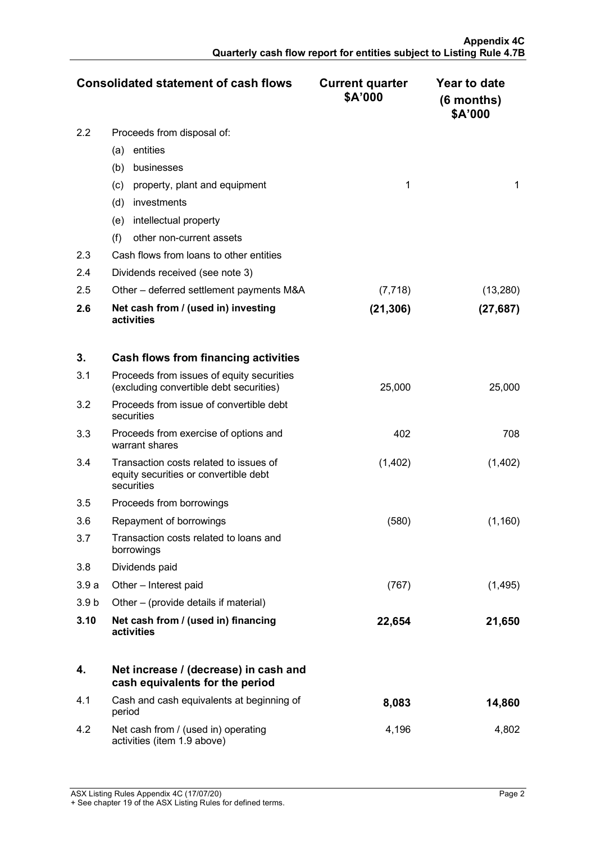|     | <b>Consolidated statement of cash flows</b>       | <b>Current quarter</b><br>\$A'000 | Year to date<br>$(6$ months)<br>\$A'000 |
|-----|---------------------------------------------------|-----------------------------------|-----------------------------------------|
| 2.2 | Proceeds from disposal of:                        |                                   |                                         |
|     | entities<br>(a)                                   |                                   |                                         |
|     | (b)<br>businesses                                 |                                   |                                         |
|     | property, plant and equipment<br>(c)              |                                   |                                         |
|     | (d)<br><i>investments</i>                         |                                   |                                         |
|     | intellectual property<br>(e)                      |                                   |                                         |
|     | (f)<br>other non-current assets                   |                                   |                                         |
| 2.3 | Cash flows from loans to other entities           |                                   |                                         |
| 2.4 | Dividends received (see note 3)                   |                                   |                                         |
| 2.5 | Other – deferred settlement payments M&A          | (7, 718)                          | (13, 280)                               |
| 2.6 | Net cash from / (used in) investing<br>activities | (21,306)                          | (27, 687)                               |

| 3.               | Cash flows from financing activities                                                          |         |          |
|------------------|-----------------------------------------------------------------------------------------------|---------|----------|
| 3.1              | Proceeds from issues of equity securities<br>(excluding convertible debt securities)          | 25,000  | 25,000   |
| 3.2              | Proceeds from issue of convertible debt<br>securities                                         |         |          |
| 3.3              | Proceeds from exercise of options and<br>warrant shares                                       | 402     | 708      |
| 3.4              | Transaction costs related to issues of<br>equity securities or convertible debt<br>securities | (1,402) | (1,402)  |
| 3.5              | Proceeds from borrowings                                                                      |         |          |
| 3.6              | Repayment of borrowings                                                                       | (580)   | (1, 160) |
| 3.7              | Transaction costs related to loans and<br>borrowings                                          |         |          |
| 3.8              | Dividends paid                                                                                |         |          |
| 3.9a             | Other - Interest paid                                                                         | (767)   | (1, 495) |
| 3.9 <sub>b</sub> | Other – (provide details if material)                                                         |         |          |
| 3.10             | Net cash from / (used in) financing<br>activities                                             | 22,654  | 21,650   |

|      | Net increase / (decrease) in cash and<br>cash equivalents for the period |       |        |
|------|--------------------------------------------------------------------------|-------|--------|
| -4.1 | Cash and cash equivalents at beginning of<br>period                      | 8,083 | 14,860 |
| 4.2  | Net cash from / (used in) operating<br>activities (item 1.9 above)       | 4.196 | 4.802  |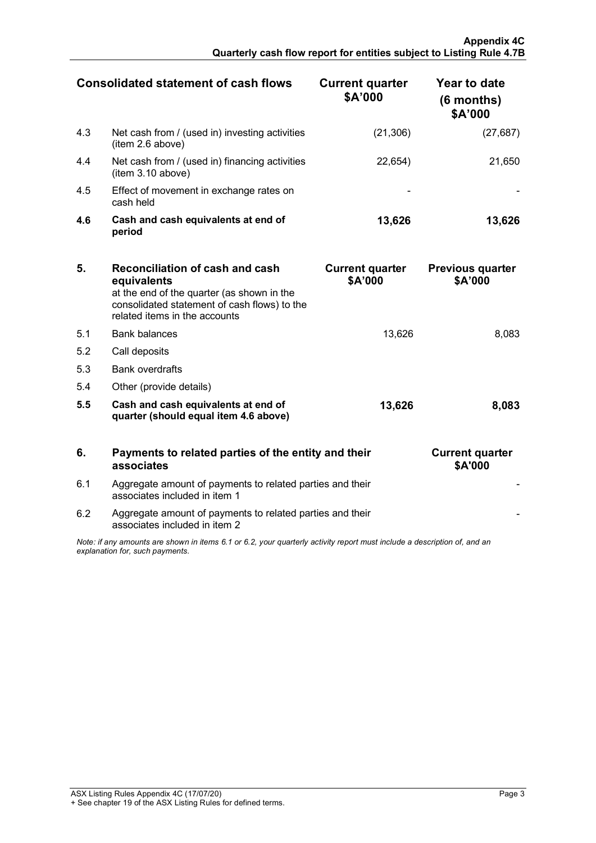| <b>Consolidated statement of cash flows</b> |                                                                     | <b>Current quarter</b><br>\$A'000 | Year to date<br>$(6$ months)<br>\$A'000 |
|---------------------------------------------|---------------------------------------------------------------------|-----------------------------------|-----------------------------------------|
| 4.3                                         | Net cash from / (used in) investing activities<br>(item 2.6 above)  | (21, 306)                         | (27,687)                                |
| 4.4                                         | Net cash from / (used in) financing activities<br>(item 3.10 above) | 22,654                            | 21,650                                  |
| 4.5                                         | Effect of movement in exchange rates on<br>cash held                |                                   |                                         |
| 4.6                                         | Cash and cash equivalents at end of<br>period                       | 13,626                            | 13,626                                  |

| 5.  | Reconciliation of cash and cash<br>equivalents<br>at the end of the quarter (as shown in the<br>consolidated statement of cash flows) to the<br>related items in the accounts | <b>Current quarter</b><br>\$A'000 | <b>Previous quarter</b><br>\$A'000 |
|-----|-------------------------------------------------------------------------------------------------------------------------------------------------------------------------------|-----------------------------------|------------------------------------|
| 5.1 | <b>Bank balances</b>                                                                                                                                                          | 13.626                            | 8.083                              |
| 5.2 | Call deposits                                                                                                                                                                 |                                   |                                    |
| 5.3 | <b>Bank overdrafts</b>                                                                                                                                                        |                                   |                                    |
| 5.4 | Other (provide details)                                                                                                                                                       |                                   |                                    |
| 5.5 | Cash and cash equivalents at end of<br>quarter (should equal item 4.6 above)                                                                                                  | 13,626                            | 8.083                              |

| 6                                                                                                                                                           | Payments to related parties of the entity and their<br>associates                          | <b>Current quarter</b><br>\$A'000 |  |
|-------------------------------------------------------------------------------------------------------------------------------------------------------------|--------------------------------------------------------------------------------------------|-----------------------------------|--|
| 6.1                                                                                                                                                         | Aggregate amount of payments to related parties and their<br>associates included in item 1 |                                   |  |
| 6.2                                                                                                                                                         | Aggregate amount of payments to related parties and their<br>associates included in item 2 |                                   |  |
| Note: if any amounts are shown in items 6.1 or 6.2, your quarterly activity report must include a description of, and an<br>explanation for, such payments. |                                                                                            |                                   |  |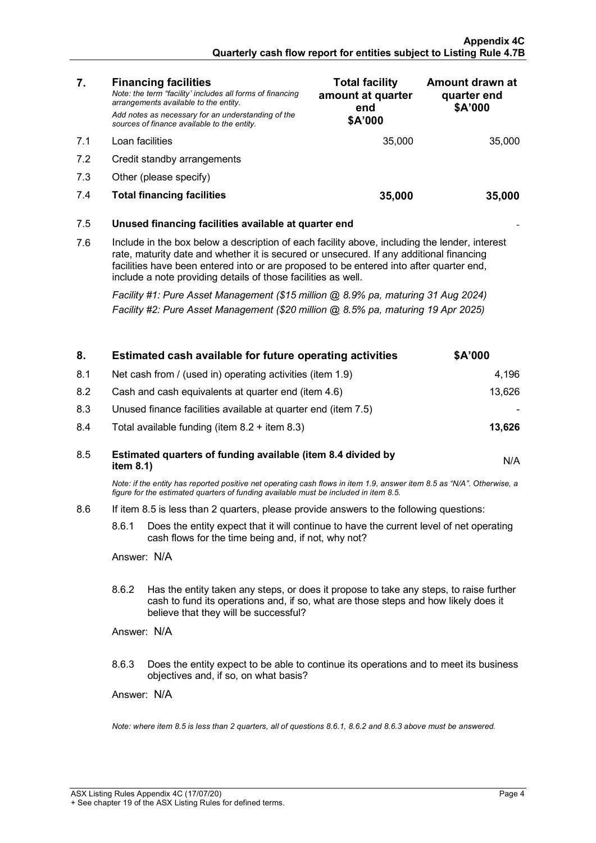| 7.                                                                                                                                                                                                                                                                                                                                                          | <b>Financing facilities</b><br>Note: the term "facility' includes all forms of financing<br>arrangements available to the entity.<br>Add notes as necessary for an understanding of the<br>sources of finance available to the entity. | <b>Total facility</b><br>amount at quarter<br>end<br>\$A'000 | Amount drawn at<br>quarter end<br>\$A'000 |
|-------------------------------------------------------------------------------------------------------------------------------------------------------------------------------------------------------------------------------------------------------------------------------------------------------------------------------------------------------------|----------------------------------------------------------------------------------------------------------------------------------------------------------------------------------------------------------------------------------------|--------------------------------------------------------------|-------------------------------------------|
| 7.1                                                                                                                                                                                                                                                                                                                                                         | Loan facilities                                                                                                                                                                                                                        | 35,000                                                       | 35,000                                    |
| 7.2                                                                                                                                                                                                                                                                                                                                                         | Credit standby arrangements                                                                                                                                                                                                            |                                                              |                                           |
| 7.3                                                                                                                                                                                                                                                                                                                                                         | Other (please specify)                                                                                                                                                                                                                 |                                                              |                                           |
| 7.4                                                                                                                                                                                                                                                                                                                                                         | <b>Total financing facilities</b>                                                                                                                                                                                                      | 35,000                                                       | 35.000                                    |
|                                                                                                                                                                                                                                                                                                                                                             |                                                                                                                                                                                                                                        |                                                              |                                           |
| 7.5                                                                                                                                                                                                                                                                                                                                                         | Unused financing facilities available at quarter end                                                                                                                                                                                   |                                                              |                                           |
| 7.6<br>Include in the box below a description of each facility above, including the lender, interest<br>rate, maturity date and whether it is secured or unsecured. If any additional financing<br>facilities have been entered into or are proposed to be entered into after quarter end,<br>include a note providing details of those facilities as well. |                                                                                                                                                                                                                                        |                                                              |                                           |
| Facility #1: Pure Asset Management (\$15 million @ 8.9% pa, maturing 31 Aug 2024)<br>Facility #2: Pure Asset Management (\$20 million @ 8.5% pa, maturing 19 Apr 2025)                                                                                                                                                                                      |                                                                                                                                                                                                                                        |                                                              |                                           |
|                                                                                                                                                                                                                                                                                                                                                             |                                                                                                                                                                                                                                        |                                                              |                                           |

| 8.  | Estimated cash available for future operating activities                                                                                                                                                                        | \$A'000 |
|-----|---------------------------------------------------------------------------------------------------------------------------------------------------------------------------------------------------------------------------------|---------|
| 8.1 | Net cash from / (used in) operating activities (item 1.9)                                                                                                                                                                       | 4,196   |
| 8.2 | Cash and cash equivalents at quarter end (item 4.6)                                                                                                                                                                             | 13,626  |
| 8.3 | Unused finance facilities available at quarter end (item 7.5)                                                                                                                                                                   |         |
| 8.4 | Total available funding (item $8.2 +$ item $8.3$ )                                                                                                                                                                              | 13,626  |
| 8.5 | Estimated quarters of funding available (item 8.4 divided by<br>item $8.1$ )                                                                                                                                                    | N/A     |
|     | Note: if the entity has reported positive net operating cash flows in item 1.9, answer item 8.5 as "N/A". Otherwise, a<br>figure for the estimated quarters of funding available must be included in item 8.5.                  |         |
| 8.6 | If item 8.5 is less than 2 quarters, please provide answers to the following questions:                                                                                                                                         |         |
|     | 8.6.1<br>Does the entity expect that it will continue to have the current level of net operating<br>cash flows for the time being and, if not, why not?                                                                         |         |
|     | Answer: N/A                                                                                                                                                                                                                     |         |
|     | 8.6.2<br>Has the entity taken any steps, or does it propose to take any steps, to raise further<br>cash to fund its operations and, if so, what are those steps and how likely does it<br>believe that they will be successful? |         |
|     | Answer: N/A                                                                                                                                                                                                                     |         |
|     | 8.6.3<br>Does the entity expect to be able to continue its operations and to meet its business<br>objectives and, if so, on what basis?                                                                                         |         |
|     | Answer: N/A                                                                                                                                                                                                                     |         |
|     | Note: where item 8.5 is less than 2 quarters, all of questions 8.6.1, 8.6.2 and 8.6.3 above must be answered.                                                                                                                   |         |
|     |                                                                                                                                                                                                                                 |         |

÷.

Ţ